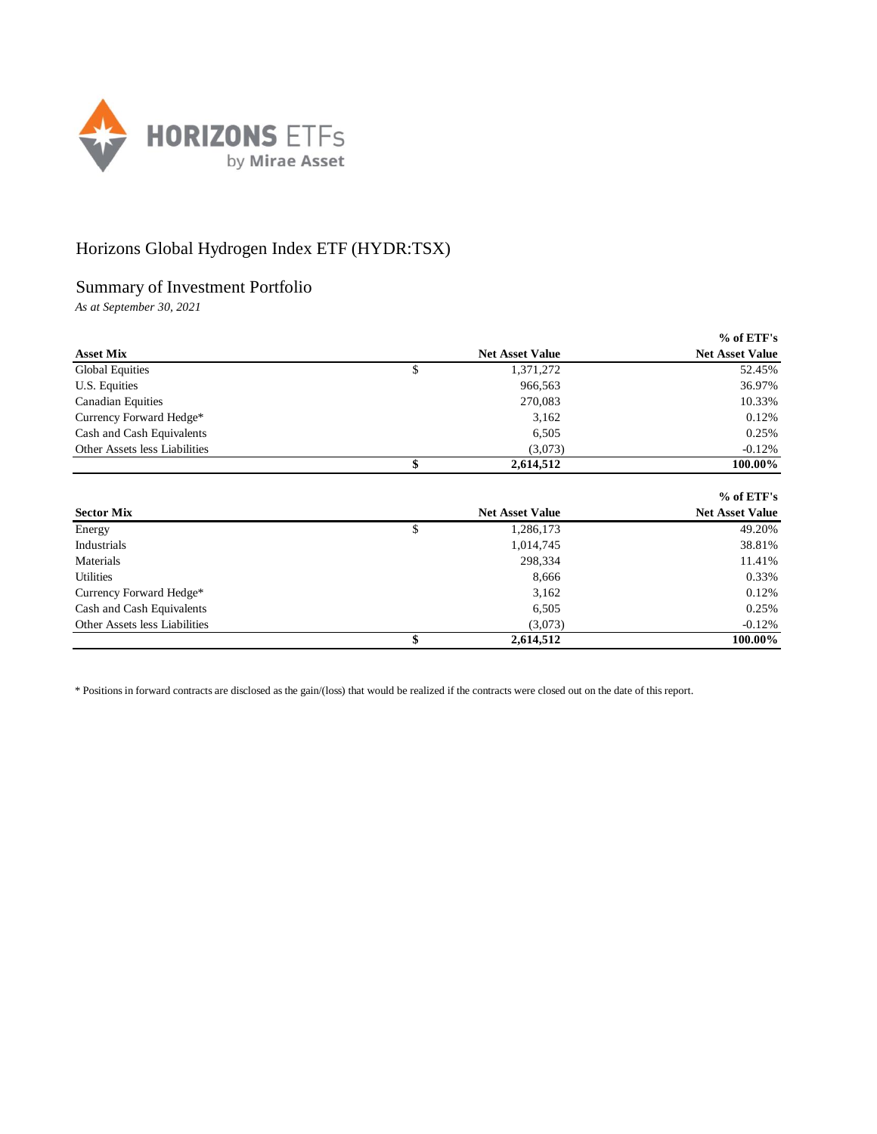

## Horizons Global Hydrogen Index ETF (HYDR:TSX)

## Summary of Investment Portfolio

*As at September 30, 2021*

|                               |                        | $%$ of ETF's           |
|-------------------------------|------------------------|------------------------|
| <b>Asset Mix</b>              | <b>Net Asset Value</b> | <b>Net Asset Value</b> |
| <b>Global Equities</b>        | \$<br>1,371,272        | 52.45%                 |
| U.S. Equities                 | 966,563                | 36.97%                 |
| <b>Canadian Equities</b>      | 270,083                | 10.33%                 |
| Currency Forward Hedge*       | 3,162                  | 0.12%                  |
| Cash and Cash Equivalents     | 6,505                  | 0.25%                  |
| Other Assets less Liabilities | (3,073)                | $-0.12%$               |
|                               | \$<br>2,614,512        | 100.00%                |

|                               |                        | $%$ of ETF's           |
|-------------------------------|------------------------|------------------------|
| <b>Sector Mix</b>             | <b>Net Asset Value</b> | <b>Net Asset Value</b> |
| Energy                        | \$<br>1,286,173        | 49.20%                 |
| Industrials                   | 1,014,745              | 38.81%                 |
| Materials                     | 298,334                | 11.41%                 |
| <b>Utilities</b>              | 8,666                  | 0.33%                  |
| Currency Forward Hedge*       | 3,162                  | 0.12%                  |
| Cash and Cash Equivalents     | 6,505                  | 0.25%                  |
| Other Assets less Liabilities | (3,073)                | $-0.12%$               |
|                               | 2,614,512              | 100.00%                |

\* Positions in forward contracts are disclosed as the gain/(loss) that would be realized if the contracts were closed out on the date of this report.